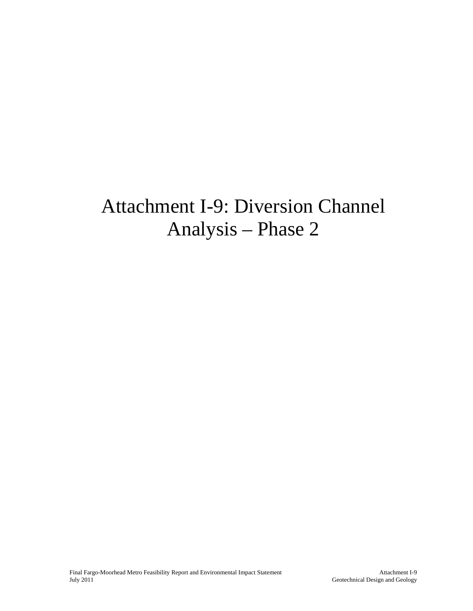### Attachment I-9: Diversion Channel Analysis – Phase 2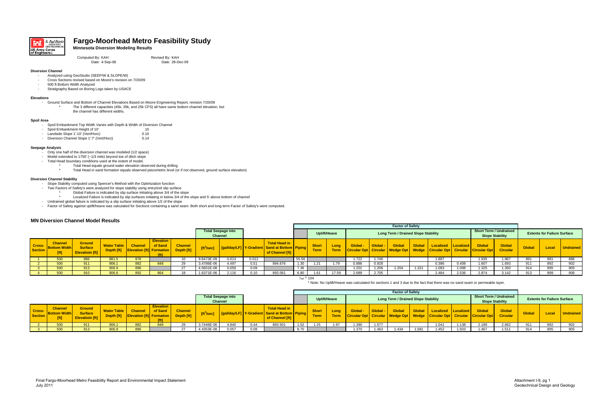

### **Fargo-Moorhead Metro Feasibility Study**

#### **Minnesota Diversion Modeling Results**

Computed By: KAH Bender Accomputed By: KAH Revised By: KAH Date: 4-Sep-08 Date: 28-De

Date: 28-Dec-09

#### **Diversion Channel**

- Analyzed using GeoStudio (SEEP/W & SLOPE/W)
- -Cross Sections revised based on Moore's revision on 7/20/09
- -500 ft Bottom Width Analyzed
- -Stratigraphy Based on Boring Logs taken by USACE

#### **Elevations**

- Ground Surface and Bottom of Channel Elevations Based on Moore Engineering Report, revision 7/20/09
	- The 3 different capacities (45k, 35k, and 25k CFS) all have same bottom channel elevation, but the channel has different widths.

#### **Spoil Area**

- -Spoil Embankment Top Width Varies with Depth & Width of Diversion Channel<br>Spoil Embankment Height of 10' 10'
- Spoil Embankment Height of 10' **10' 10'** 10
- Landside Slope 1':10' (Vert/Horz) 0.10
- Diversion Channel Slope 1':7' (Vert/Horz) 0.14

#### **Seepage Analysis**

- Only one half of the diversion channel was modeled (1/2 space)
- Model extended to 1750' (~1/3 mile) beyond toe of ditch slope
- Total Head boundary conditions used at the extent of model.
	- Total Head equals ground water elevation observed during drilling \*
		- Total Head in sand formation equals observed piezometric level (or if not observed, ground surface elevation)

#### **Diversion Channel Stability**

- Slope Stability computed using Spencer's Method with the Optimization function
- Two Factors of Safety's were analyzed for slope stability using entry/exit slip surface
	- Global Failure is indicated by slip surface initiating above 3/4 of the slope
- \*Localized Failure is indicated by slip surfaces initiating in below 3/4 of the slope and 5' above bottom of channel
- Undrained global failure is indicated by a slip surface initiating above 1/2 of the slope
- Factor of Safety against uplift/heave was calculated for Sections containing a sand seam. Both short and long term Factor of Safety's were computed.

#### **MN Diversion Channel Model Results**

\* Note: No Uplift/Heave was calculated for sections 1 and 3 due to the fact that there was no sand seam or permeable layer.

|                   |                                       |                                                           |                    |                                                                         |                             |                |                        |                                             |       | <b>Factor of Safety</b>                                                                  |                         |                             |              |                                                      |        |                                            |               |                                                                             |       |               |                                                         |               |                                    |                  |
|-------------------|---------------------------------------|-----------------------------------------------------------|--------------------|-------------------------------------------------------------------------|-----------------------------|----------------|------------------------|---------------------------------------------|-------|------------------------------------------------------------------------------------------|-------------------------|-----------------------------|--------------|------------------------------------------------------|--------|--------------------------------------------|---------------|-----------------------------------------------------------------------------|-------|---------------|---------------------------------------------------------|---------------|------------------------------------|------------------|
|                   |                                       |                                                           |                    |                                                                         |                             |                |                        | <b>Total Seepage into</b><br><b>Channel</b> |       |                                                                                          |                         |                             | Uplift/Heave |                                                      |        | <b>Long Term / Drained Slope Stability</b> |               |                                                                             |       |               | <b>Short Term / Undrained</b><br><b>Slope Stability</b> |               | <b>Extents for Failure Surface</b> |                  |
| Cross-<br>Section | <b>Channel</b><br><b>Bottom Width</b> | <b>Ground</b><br><b>Surface</b><br><b>Elevatioin [ft]</b> | <b>Water Table</b> | <b>Channel</b><br><b>Depth [ft]</b> Elevation [ft] Formation Depth [ft] | <b>Elevation</b><br>of Sand | <b>Channel</b> | [ft <sup>3</sup> /sec] |                                             |       | <b>Total Head in</b><br>[gal/day/LF] Y-Gradient Sand at Bottom Piping<br>of Channel [ft] |                         | <b>Short</b><br><b>Term</b> | Long<br>Term | <b>Global</b><br>Circular Opt   Circular   Wedge Opt | Global | <b>Global</b>                              | <b>Global</b> | Localized   Localized  <br>■ Wedge   Circular Opt   Circular   Circular Opt |       | <b>Global</b> | <b>Global</b><br><b>Circular</b>                        | <b>Global</b> | Local                              | <b>Undrained</b> |
|                   | 500                                   | 886                                                       | 881.5              | 876                                                                     |                             |                | 9.8473E-09             | 0.013                                       | 0.012 |                                                                                          | 55.56                   |                             |              | 1.722                                                | 1.746  |                                            |               | 1.887                                                                       |       | .935          | 1.967                                                   | 891           | 881                                | 886              |
|                   | 500                                   | 911                                                       | 906.1              | 882                                                                     | 848                         |                | 3.4786E-06             | 4.497                                       | 0.51  | 894.676                                                                                  | 1.30                    |                             | 1.79         | 0.886                                                | 0.928  |                                            |               | 0.386                                                                       | 0.408 | 1.607         | 1.693                                                   | 911           | 892                                | 902              |
|                   | 500                                   | 913                                                       | 906.9              | 886                                                                     |                             | 27             | 4.5601E-08             | 0.059                                       | 0.09  |                                                                                          | $\overline{z}$<br>0د. ا |                             |              | 1.201                                                | 1.206  | 1.204                                      | 1.321         | 1.083                                                                       | 1.098 | 1.325         | 1.350                                                   |               | 895                                | 905              |
|                   | 500                                   | 910                                                       | 906.6              | 892                                                                     | 864                         |                | 1.6371E-06             | 2.116                                       |       | 893.061                                                                                  | 6.80                    |                             | 17.59        | 2.689                                                | 2.705  |                                            |               | 2.484                                                                       | 2.536 | 2.874         | 3.142                                                   |               | 899                                | 906              |

 $\gamma_{\sf sat}$  = 104

|                          |                                               |                                                    |                    |                                                                         |                             |                |                        |                                             | <b>Factor of Safety</b> |                                                                          |              |                             |                     |                                               |        |                                            |               |                                                                                          |       |               |                                                         |               |                                    |                  |
|--------------------------|-----------------------------------------------|----------------------------------------------------|--------------------|-------------------------------------------------------------------------|-----------------------------|----------------|------------------------|---------------------------------------------|-------------------------|--------------------------------------------------------------------------|--------------|-----------------------------|---------------------|-----------------------------------------------|--------|--------------------------------------------|---------------|------------------------------------------------------------------------------------------|-------|---------------|---------------------------------------------------------|---------------|------------------------------------|------------------|
|                          |                                               |                                                    |                    |                                                                         |                             |                |                        | <b>Total Seepage into</b><br><b>Channel</b> |                         |                                                                          |              |                             | Uplift/Heave        |                                               |        | <b>Long Term / Drained Slope Stability</b> |               |                                                                                          |       |               | <b>Short Term / Undrained</b><br><b>Slope Stability</b> |               | <b>Extents for Failure Surface</b> |                  |
| <b>Cross-</b><br>Section | <b>Channel</b><br><b>Bottom Width</b><br>[ft] | <b>Ground</b><br>Surface<br><b>Elevatioin [ft]</b> | <b>Water Table</b> | <b>Channel</b><br><b>Depth [ft]</b> Elevation [ft] Formation Depth [ft] | <b>Elevation</b><br>of Sand | <b>Channel</b> | [ft <sup>3</sup> /sec] | <b>f</b> [gal/day/LF] Y-Gradient   S        |                         | <b>Total Head in</b><br><b>PILE 12 at Bottom PILE</b><br>of Channel [ft] |              | <b>Short</b><br><b>Term</b> | Lona<br><b>Term</b> | Global<br>Circular Opt   Circular   Wedge Opt | Global | <b>Global</b>                              | <b>Global</b> | <b>Localized   Localized</b><br><b>Nedge Circular Opt Circular Circular Opt Circular</b> |       | <b>Global</b> | Global                                                  | <b>Global</b> | Local                              | <b>Undrained</b> |
|                          | 500                                           | 911                                                | 906.1              | 882                                                                     | -848                        |                | 3.7446E-06             | 4.840                                       | 0.44                    | 893.501                                                                  | 1.52         | 1.25                        | 1.97                | 1.390                                         | 1.577  |                                            |               | 1.041                                                                                    | 1.138 | 2.189         | 2.662                                                   | 911           | 892                                | 902              |
|                          | 500                                           | 913                                                | 906.9              | 886                                                                     |                             |                | 4.4353E-08             | 0.057                                       | 0.08                    |                                                                          | 0.70<br>8.7V |                             |                     | 1.370                                         | 1.463  | 1.434                                      | 1.581         | 1.452                                                                                    | 1.503 | 1.467         | 1.511                                                   |               | 895                                | 905              |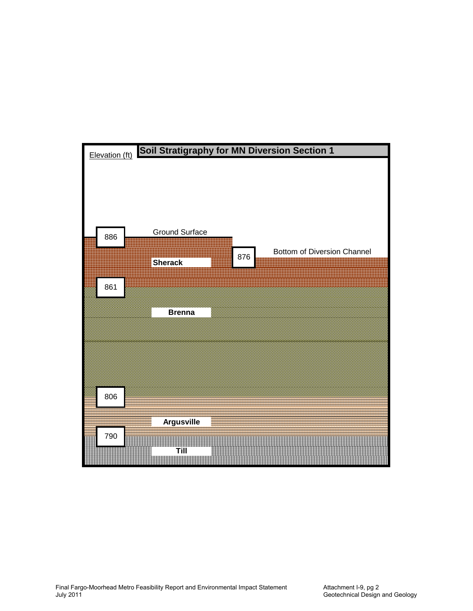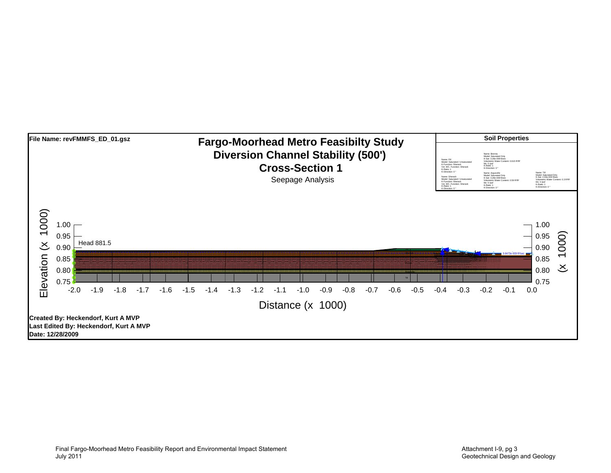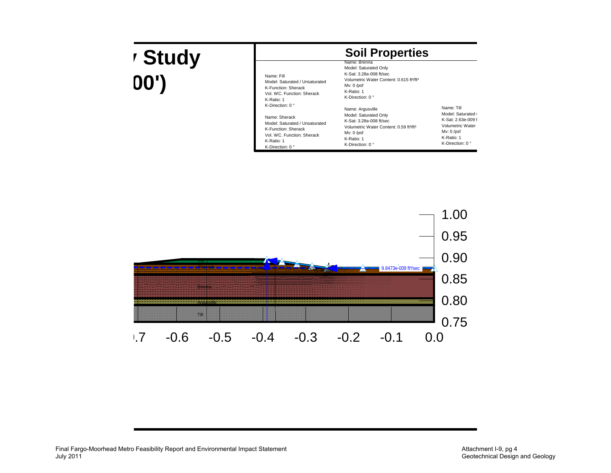## **y Study 00')**

|  | <b>Soil Properties</b> |  |
|--|------------------------|--|
|--|------------------------|--|

| Name: Fill<br>Model: Saturated / Unsaturated<br>K-Function: Sherack<br>Vol. WC. Function: Sherack<br>K-Ratio: 1 | Name: Brenna<br>Model: Saturated Only<br>K-Sat: 3.28e-008 ft/sec<br>Volumetric Water Content: 0.615 ft <sup>3</sup> /ft <sup>3</sup><br>$Mv: 0$ /psf<br>K-Ratio: 1<br>K-Direction: $0^{\circ}$ |                          |
|-----------------------------------------------------------------------------------------------------------------|------------------------------------------------------------------------------------------------------------------------------------------------------------------------------------------------|--------------------------|
| K-Direction: $0^{\circ}$                                                                                        | Name: Argusville                                                                                                                                                                               | Name: Till               |
| Name: Sherack                                                                                                   | Model: Saturated Only                                                                                                                                                                          | Model: Saturated (       |
| Model: Saturated / Unsaturated                                                                                  | K-Sat: 3.28e-008 ft/sec                                                                                                                                                                        | K-Sat: 2.63e-009 f       |
| K-Function: Sherack                                                                                             | Volumetric Water Content: 0.59 ft <sup>3/ft3</sup>                                                                                                                                             | Volumetric Water         |
| Vol. WC. Function: Sherack                                                                                      | $Mv: 0$ /psf                                                                                                                                                                                   | $Mv: 0$ /psf             |
| K-Ratio: 1                                                                                                      | K-Ratio: 1                                                                                                                                                                                     | K-Ratio: 1               |
| K-Direction: 0 °                                                                                                | K-Direction: $0^{\circ}$                                                                                                                                                                       | K-Direction: $0^{\circ}$ |

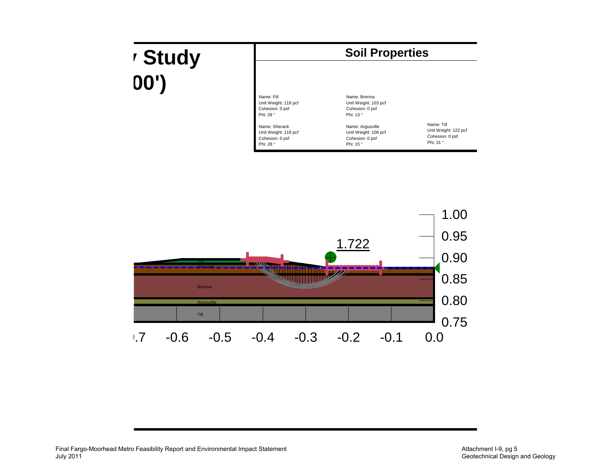## **y Study 00')**



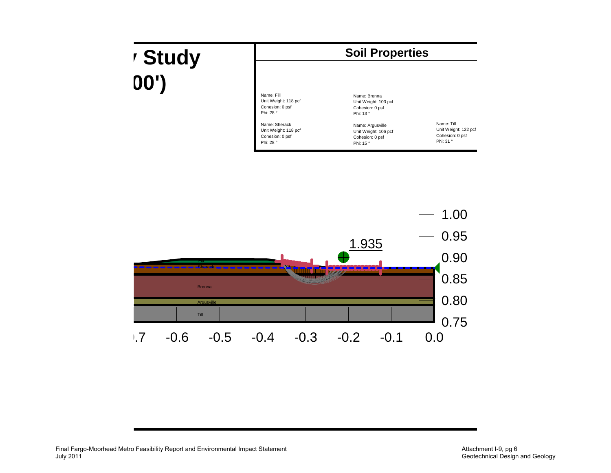## **y Study 00')**  $\left| \begin{array}{c} \frac{1}{2} & \frac{1}{2} \\ \frac{1}{2} & \frac{1}{2} \end{array} \right|$



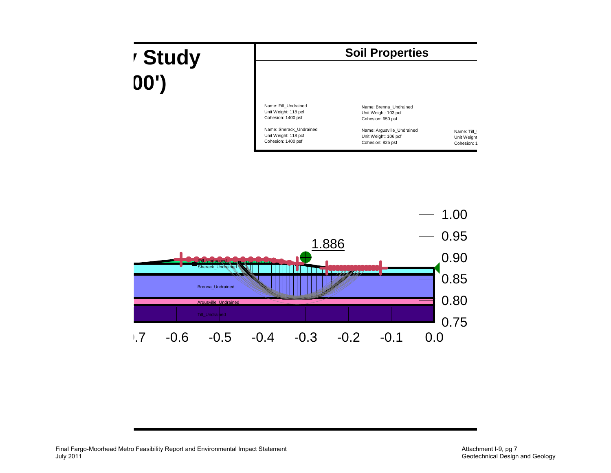## **y Study 00')**



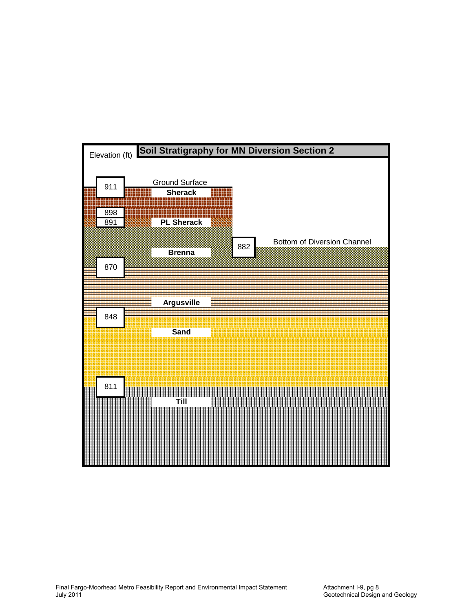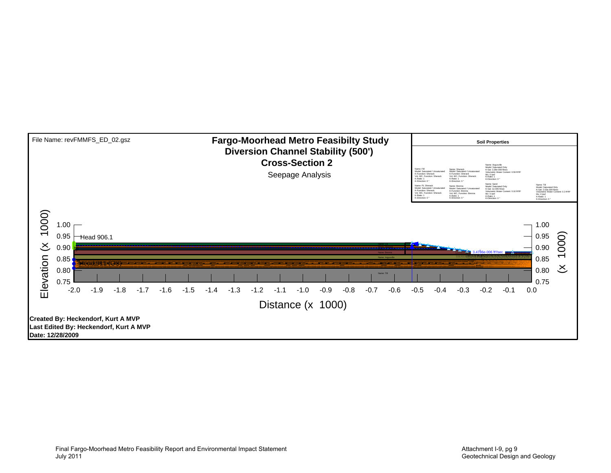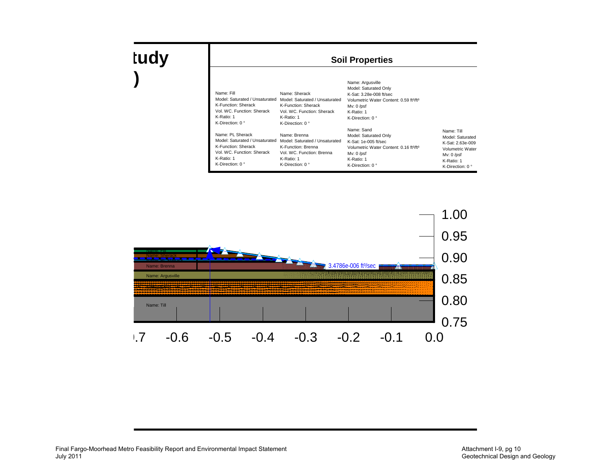| Name: Fill<br>Model: Saturated / Unsaturated<br>K-Function: Sherack<br>Vol. WC. Function: Sherack<br>K-Ratio: 1<br>K-Direction: $0^{\circ}$       | Name: Sherack<br>Model: Saturated / Unsaturated<br>K-Function: Sherack<br>Vol. WC. Function: Sherack<br>K-Ratio: 1<br>K-Direction: $0^{\circ}$ | Name: Argusville<br>Model: Saturated Only<br>K-Sat: 3.28e-008 ft/sec<br>Volumetric Water Content: 0.59 ft <sup>3/ft3</sup><br>$Mv: 0$ /psf<br>K-Ratio: 1<br>K-Direction: 0°   |                                                                                                                                  |
|---------------------------------------------------------------------------------------------------------------------------------------------------|------------------------------------------------------------------------------------------------------------------------------------------------|-------------------------------------------------------------------------------------------------------------------------------------------------------------------------------|----------------------------------------------------------------------------------------------------------------------------------|
| Name: PL Sherack<br>Model: Saturated / Unsaturated<br>K-Function: Sherack<br>Vol. WC. Function: Sherack<br>K-Ratio: 1<br>K-Direction: $0^{\circ}$ | Name: Brenna<br>Model: Saturated / Unsaturated<br>K-Function: Brenna<br>Vol. WC. Function: Brenna<br>K-Ratio: 1<br>K-Direction: $0^{\circ}$    | Name: Sand<br>Model: Saturated Only<br>$K-Sat: 1e-005$ ft/sec<br>Volumetric Water Content: 0.16 ft <sup>3/ft3</sup><br>Mv: $0$ /psf<br>K-Ratio: 1<br>K-Direction: $0^{\circ}$ | Name: Till<br>Model: Saturated<br>K-Sat: 2.63e-009<br>Volumetric Water<br>$Mv: 0$ /psf<br>K-Ratio: 1<br>K-Direction: $0^{\circ}$ |

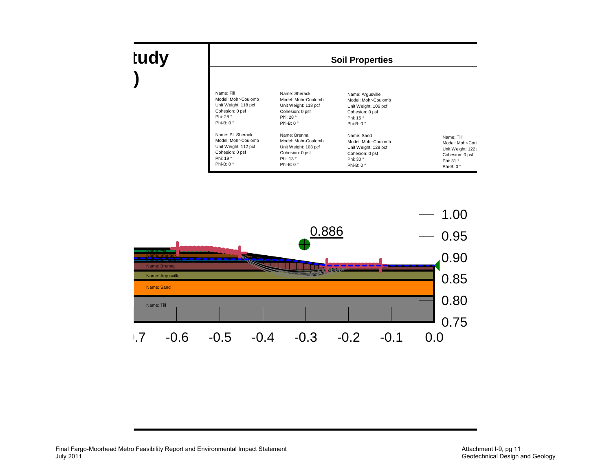|  | <b>Soil Properties</b> |
|--|------------------------|
|--|------------------------|

| Name: Fill           | Name: Sherack        | Name: Argusville     |                    |
|----------------------|----------------------|----------------------|--------------------|
| Model: Mohr-Coulomb  | Model: Mohr-Coulomb  | Model: Mohr-Coulomb  |                    |
| Unit Weight: 118 pcf | Unit Weight: 118 pcf | Unit Weight: 106 pcf |                    |
| Cohesion: 0 psf      | Cohesion: 0 psf      | Cohesion: 0 psf      |                    |
| Phi: 28°             | Phi: 28 °            | Phi: 15°             |                    |
| Phi-B: $0^{\circ}$   | Phi-B: $0^{\circ}$   | Phi-B: $0^{\circ}$   |                    |
| Name: PL Sherack     | Name: Brenna         | Name: Sand           | Name: Till         |
| Model: Mohr-Coulomb  | Model: Mohr-Coulomb  | Model: Mohr-Coulomb  | Model: Mohr-Coul   |
| Unit Weight: 112 pcf | Unit Weight: 103 pcf | Unit Weight: 128 pcf | Unit Weight: 122   |
| Cohesion: 0 psf      | Cohesion: 0 psf      | Cohesion: 0 psf      | Cohesion: 0 psf    |
| Phi: 19°             | Phi: 13°             | Phi: 30 °            | Phi: 31 °          |
| Phi-B: $0^{\circ}$   | Phi-B: $0^{\circ}$   | Phi-B: $0^{\circ}$   | Phi-B: $0^{\circ}$ |

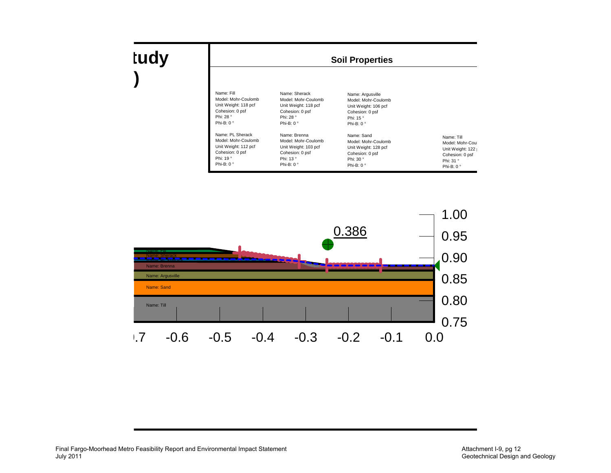| Name: Fill           | Name: Sherack        | Name: Argusville     |                    |
|----------------------|----------------------|----------------------|--------------------|
| Model: Mohr-Coulomb  | Model: Mohr-Coulomb  | Model: Mohr-Coulomb  |                    |
| Unit Weight: 118 pcf | Unit Weight: 118 pcf | Unit Weight: 106 pcf |                    |
| Cohesion: 0 psf      | Cohesion: 0 psf      | Cohesion: 0 psf      |                    |
| Phi: 28°             | Phi: 28 °            | Phi: 15°             |                    |
| Phi-B: $0^{\circ}$   | Phi-B: $0^{\circ}$   | Phi-B: $0^{\circ}$   |                    |
| Name: PL Sherack     | Name: Brenna         | Name: Sand           | Name: Till         |
| Model: Mohr-Coulomb  | Model: Mohr-Coulomb  | Model: Mohr-Coulomb  | Model: Mohr-Coul   |
| Unit Weight: 112 pcf | Unit Weight: 103 pcf | Unit Weight: 128 pcf | Unit Weight: 122   |
| Cohesion: 0 psf      | Cohesion: 0 psf      | Cohesion: 0 psf      | Cohesion: 0 psf    |
| Phi: 19°             | Phi: 13°             | Phi: 30°             | Phi: 31 °          |
| Phi-B: $0^{\circ}$   | Phi-B: $0^{\circ}$   | Phi-B: $0^{\circ}$   | Phi-B: $0^{\circ}$ |

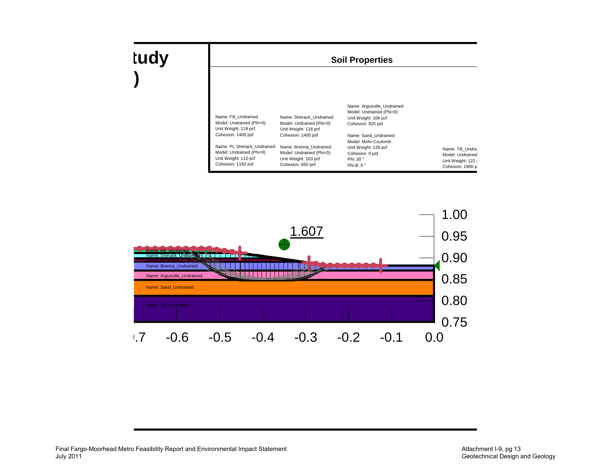

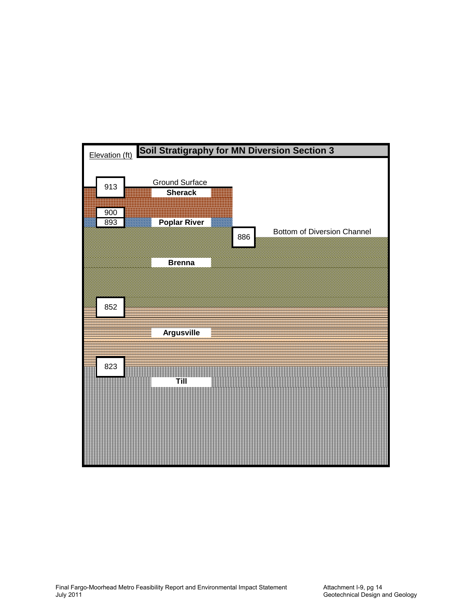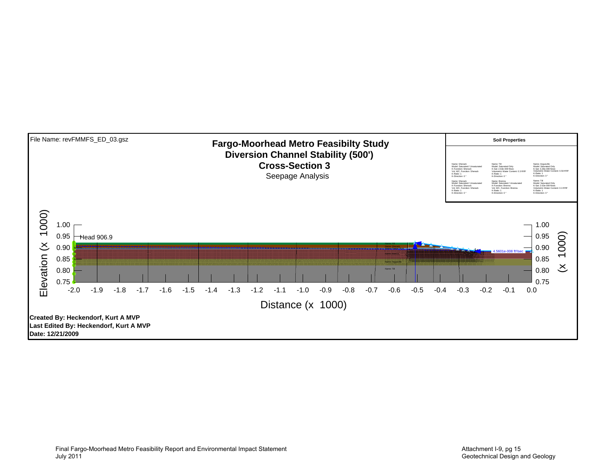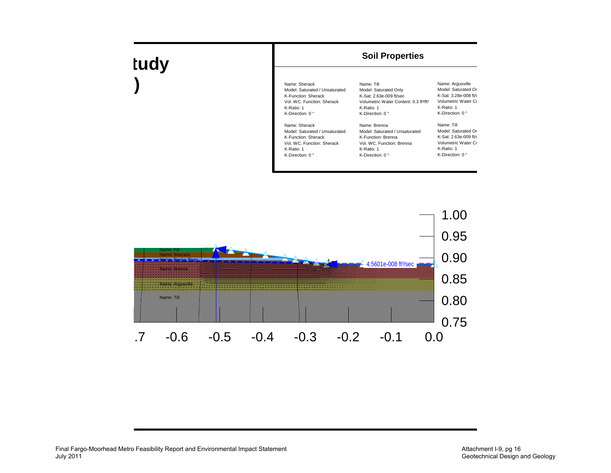| Name: Sherack                  | Name: Till                                        | Name: Argusville         |
|--------------------------------|---------------------------------------------------|--------------------------|
| Model: Saturated / Unsaturated | Model: Saturated Only                             | Model: Saturated Or      |
| K-Function: Sherack            | K-Sat: 2.63e-009 ft/sec                           | K-Sat: 3.28e-008 ft/s    |
| Vol. WC. Function: Sherack     | Volumetric Water Content: 0.3 ft <sup>3/ft3</sup> | Volumetric Water Co      |
| K-Ratio: 1                     | K-Ratio: 1                                        | K-Ratio: 1               |
| K-Direction: 0 °               | K-Direction: $0^{\circ}$                          | K-Direction: $0^{\circ}$ |
| Name: Sherack                  | Name: Brenna                                      | Name: Till               |
| Model: Saturated / Unsaturated | Model: Saturated / Unsaturated                    | Model: Saturated Or      |
| K-Function: Sherack            | K-Function: Brenna                                | K-Sat: 2.63e-009 ft/s    |
| Vol. WC. Function: Sherack     | Vol. WC. Function: Brenna                         | Volumetric Water Co      |
| K-Ratio: 1                     | K-Ratio: 1                                        | K-Ratio: 1               |
| K-Direction: $0^{\circ}$       | K-Direction: $0^{\circ}$                          | K-Direction: $0^{\circ}$ |
|                                |                                                   |                          |

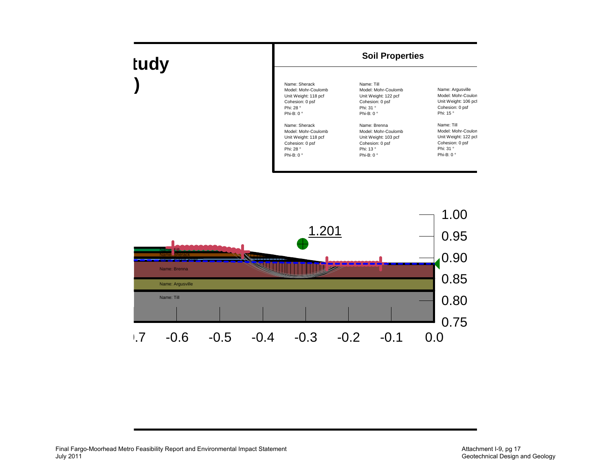

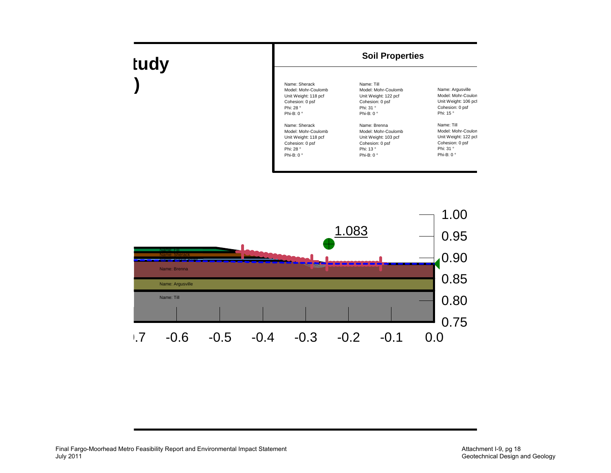

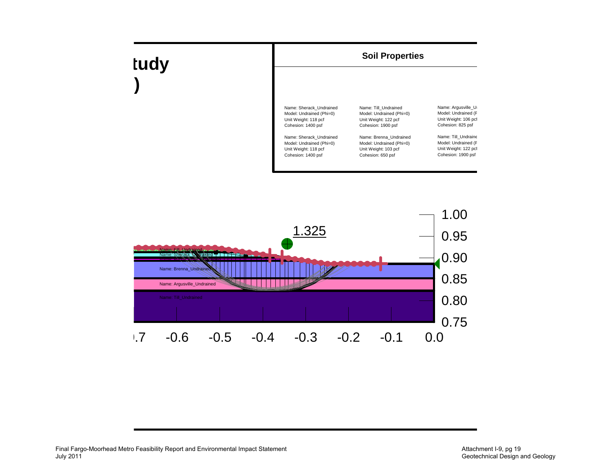

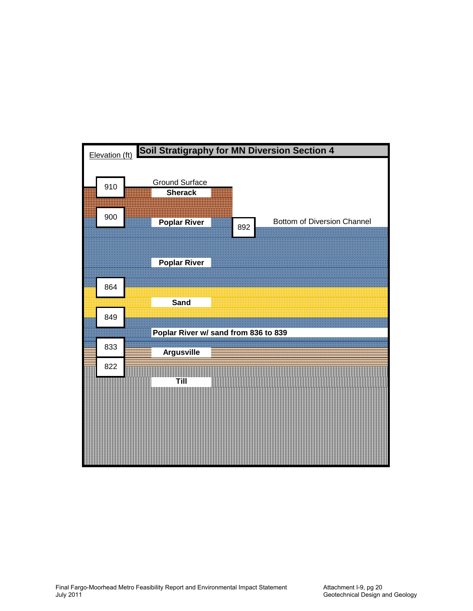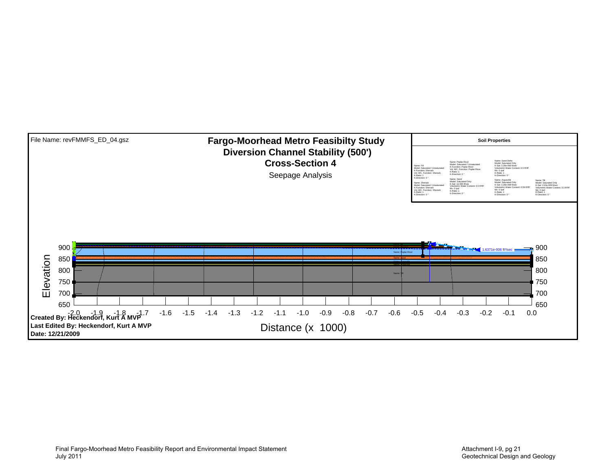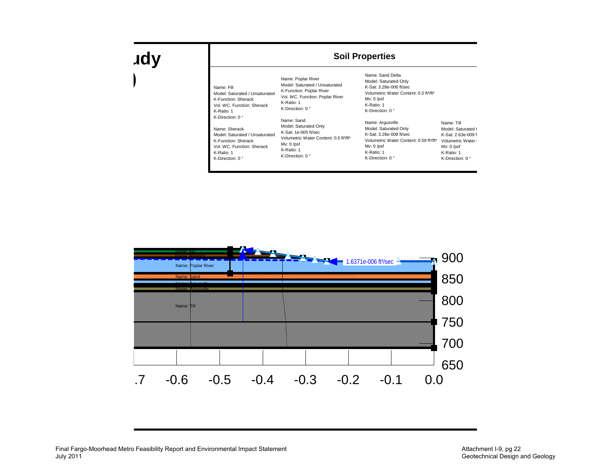### **udy )**

#### **Soil Properties**

| Name: Fill<br>Model: Saturated / Unsaturated<br>K-Function: Sherack<br>Vol. WC. Function: Sherack<br>K-Ratio: 1 | Name: Poplar River<br>Model: Saturated / Unsaturated<br>K-Function: Poplar River<br>Vol. WC. Function: Poplar River<br>K-Ratio: 1<br>K-Direction: $0^{\circ}$ |  |  |  |  |
|-----------------------------------------------------------------------------------------------------------------|---------------------------------------------------------------------------------------------------------------------------------------------------------------|--|--|--|--|
| K-Direction: $0^{\circ}$                                                                                        | Name: Sand                                                                                                                                                    |  |  |  |  |
| Name: Sherack                                                                                                   | Model: Saturated Only                                                                                                                                         |  |  |  |  |
| Model: Saturated / Unsaturated                                                                                  | K-Sat: 1e-005 ft/sec                                                                                                                                          |  |  |  |  |
| K-Function: Sherack                                                                                             | Volumetric Water Content: 0.5 ft <sup>3/ft3</sup>                                                                                                             |  |  |  |  |
| Vol. WC. Function: Sherack                                                                                      | Mv: 0 /psf                                                                                                                                                    |  |  |  |  |
| K-Ratio: 1                                                                                                      | K-Ratio: 1                                                                                                                                                    |  |  |  |  |
| K-Direction: $0^{\circ}$                                                                                        | K-Direction: $0^{\circ}$                                                                                                                                      |  |  |  |  |

Name: Sand Delta Model: Saturated Only K-Sat: 3.28e-006 ft/secVolumetric Water Content: 0.5 ft<sup>3</sup>/ft<sup>3</sup> Mv: 0 /psf K-Ratio: 1 K-Direction: 0 ° Name: Argusville Model: Saturated Only K-Sat: 3.28e-008 ft/secVolumetric Water Content: 0.59 ft<sup>3</sup>/ft<sup>3</sup> Volumetric Water ( Mv: 0 /psf K-Ratio: 1 K-Direction: 0 ° Name: Till Model: Saturated ( K-Sat: 2.63e-009 f Mv: 0 /psf K-Ratio: 1 K-Direction: 0 °

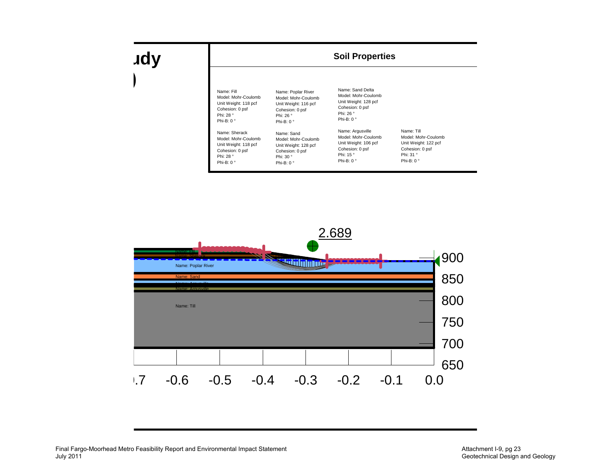### **udy )**

| Name: Fill           | Name: Poplar River   | Name: Sand Delta     |                      |
|----------------------|----------------------|----------------------|----------------------|
| Model: Mohr-Coulomb  | Model: Mohr-Coulomb  | Model: Mohr-Coulomb  |                      |
| Unit Weight: 118 pcf | Unit Weight: 116 pcf | Unit Weight: 128 pcf |                      |
| Cohesion: 0 psf      | Cohesion: 0 psf      | Cohesion: 0 psf      |                      |
| Phi: 28 °            | Phi: 26 °            | Phi: 26 °            |                      |
| Phi-B: $0^{\circ}$   | Phi-B: $0^{\circ}$   | Phi-B: $0^{\circ}$   |                      |
| Name: Sherack        | Name: Sand           | Name: Argusville     | Name: Till           |
| Model: Mohr-Coulomb  | Model: Mohr-Coulomb  | Model: Mohr-Coulomb  | Model: Mohr-Coulomb  |
| Unit Weight: 118 pcf | Unit Weight: 128 pcf | Unit Weight: 106 pcf | Unit Weight: 122 pcf |
| Cohesion: 0 psf      | Cohesion: 0 psf      | Cohesion: 0 psf      | Cohesion: 0 psf      |
| Phi: 28 °            | Phi: 30 °            | Phi: 15 °            | Phi: 31 °            |
| Phi-B: $0^{\circ}$   | Phi-B: $0^{\circ}$   | Phi-B: $0^{\circ}$   | Phi-B: $0^{\circ}$   |

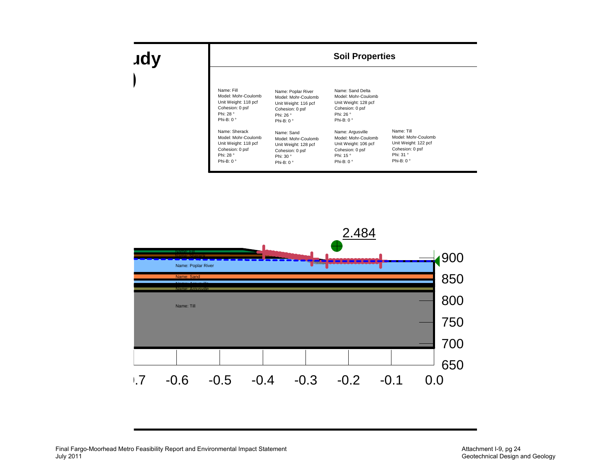### **udy )**

| Name: Fill           | Name: Poplar River   | Name: Sand Delta     |                      |
|----------------------|----------------------|----------------------|----------------------|
| Model: Mohr-Coulomb  | Model: Mohr-Coulomb  | Model: Mohr-Coulomb  |                      |
| Unit Weight: 118 pcf | Unit Weight: 116 pcf | Unit Weight: 128 pcf |                      |
| Cohesion: 0 psf      | Cohesion: 0 psf      | Cohesion: 0 psf      |                      |
| Phi: 28 °            | Phi: 26 °            | Phi: 26 °            |                      |
| Phi-B: $0^{\circ}$   | Phi-B: $0^{\circ}$   | Phi-B: $0^{\circ}$   |                      |
| Name: Sherack        | Name: Sand           | Name: Argusville     | Name: Till           |
| Model: Mohr-Coulomb  | Model: Mohr-Coulomb  | Model: Mohr-Coulomb  | Model: Mohr-Coulomb  |
| Unit Weight: 118 pcf | Unit Weight: 128 pcf | Unit Weight: 106 pcf | Unit Weight: 122 pcf |
| Cohesion: 0 psf      | Cohesion: 0 psf      | Cohesion: 0 psf      | Cohesion: 0 psf      |
| Phi: 28 °            | Phi: 30 °            | Phi: 15 °            | Phi: 31 °            |
| Phi-B: $0^{\circ}$   | Phi-B: $0^{\circ}$   | Phi-B: $0^{\circ}$   | Phi-B: $0^{\circ}$   |

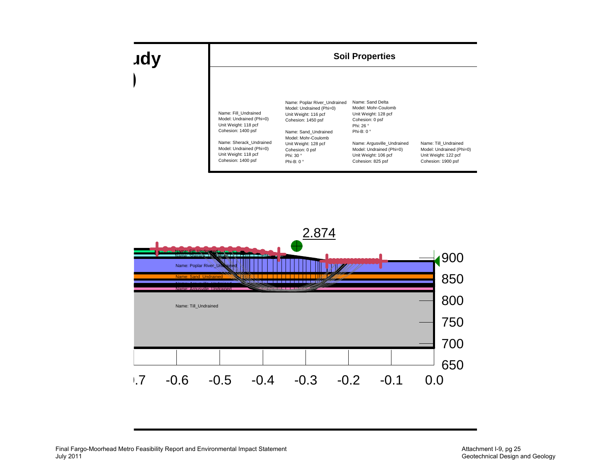

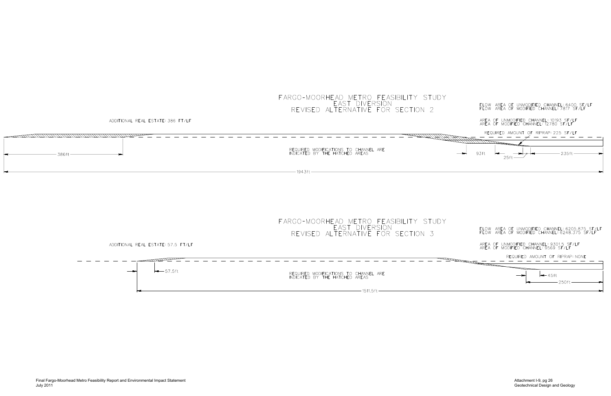AREA OF UNMODIFIED CHANNEL: 10193 SF/LF AREA OF MODIFIED CHANNEL: 12780 SF/LF

AREA OF UNMODIFIED CHANNEL: 9301.5 SF/LF AREA OF MODIFIED CHANNEL: 9569 SF/LF



FLOW AREA OF UNMODIFIED CHANNEL: 6205.875 SF/LF FLOW AREA OF MODIFIED CHANNEL: 6248.375 SF/LF

ADDITIONAL REAL ESTATE: 57.5 FT/LF

 $-57.5$ ft REQUIRED MODIFICATIONS TO CHANNEL ARE INDICATED BY THE HATCHED AREAS  $-1511.5$ ft –

ADDITIONAL REAL ESTATE: 386 FT/LF

#### FARGO-MOORHEAD METRO FEASIBILITY STUDY EAST DIVERSION REVISED ALTERNATIVE FOR SECTION 2

| 386ft<br>-- | REQUIRED MODIFICATIONS TO CHANNEL ARE<br>INDICATED BY THE HATCHED AREAS |
|-------------|-------------------------------------------------------------------------|
|             |                                                                         |

FARGO-MOORHEAD METRO FEASIBILITY STUDY EAST DIVERSION REVISED ALTERNATIVE FOR SECTION 3

 $-1943$ ft –

FLOW AREA OF UNMODIFIED CHANNEL: 6400 SF/LF FLOW AREA OF MODIFIED CHANNEL: 7817 SF/LF



Attachment I-9, pg 26 Geotechnical Design and Geology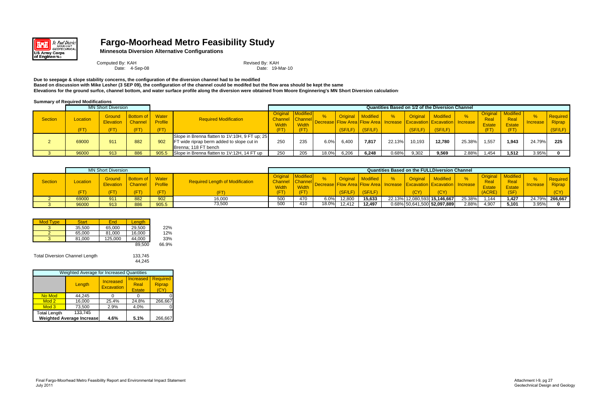

### **Fargo-Moorhead Metro Feasibility Study**

**Minnesota Diversion Alternative Configurations**

Computed By: KAH Revised By: KAH

Date: 4-Sep-08 Date: 19-Mar-10

**Due to seepage & slope stability concerns, the configuration of the diversion channel had to be modified Based on discussion with Mike Lesher (3 SEP 09), the configuration of the channel could be modifed but the flow area should be kept the same Elevations for the ground surfce, channel bottom, and water surface profile along the diversion were obtained from Moore Enginnering's MN Short Diversion calculations**

**Summary of Required Modifications**

|                |                  | <b>MN Short Diversion</b> |                                                        |                                 |                                                                                                                     | <b>Quantities Based on 1/2 of the Diversion Channel</b> |                                                    |       |                            |                     |        |                                                                                                            |                                  |        |                               |                                                             |                      |                               |
|----------------|------------------|---------------------------|--------------------------------------------------------|---------------------------------|---------------------------------------------------------------------------------------------------------------------|---------------------------------------------------------|----------------------------------------------------|-------|----------------------------|---------------------|--------|------------------------------------------------------------------------------------------------------------|----------------------------------|--------|-------------------------------|-------------------------------------------------------------|----------------------|-------------------------------|
| <b>Section</b> | Location<br>(FT) | Ground<br>FT,             | <b>Bottom of I</b><br><b>Elevation</b> Channel<br>(FT) | Water<br><b>Profile</b><br>(FT) | <b>Required Modification</b>                                                                                        | Channel Channel<br><b>Width</b><br>(FT)                 | <b>Original   Modified</b><br><b>Width</b><br>(FT) |       | <b>Original</b><br>(SF/LF) | Modified<br>(SF/LF) |        | <b>Original</b><br>Decrease Flow Area Flow Area   Increase   Excavation   Excavation   Increase<br>(SF/LF) | <b>Modified</b><br>$\sqrt{SFLF}$ |        | Real<br><b>Estate</b><br>(FT) | <b>Original</b>   Modified<br>Real<br><b>Estate</b><br>(FT) | %<br><b>Increase</b> | Required<br>Riprap<br>(SF/LF) |
|                | 69000            | 911                       | 882                                                    | 902                             | Slope in Brenna flatten to 1V:10H, 9 FT up; 25<br>FT wide riprap berm added to slope cut in<br>Brenna: 118 FT bench | 250                                                     | 235                                                | 6.0%  | 6,400                      | 7,817               | 22.13% | 10,193                                                                                                     | 12.780                           | 25.38% | 1,557                         | 1.943                                                       | 24.79%               | 225                           |
|                | 96000            | 913                       | 886                                                    |                                 | 905.5 Slope in Brenna flatten to 1V:12H, 14 FT up                                                                   | 250                                                     | 205                                                | 18.0% | 6.206                      | 6.248               | 0.68%  | 9,302                                                                                                      | 9.569                            | 2.88%  | .454                          | 1.512                                                       | 3.95%                |                               |

|                |          | <b>MN Short Diversion</b>  |                                    |                         |                                        |                   |                                 |       |                 |                 |                 | <b>Quantities Based on the FULLDiversion Channel</b> |                    |                                                 |                                   |                 |                                  |
|----------------|----------|----------------------------|------------------------------------|-------------------------|----------------------------------------|-------------------|---------------------------------|-------|-----------------|-----------------|-----------------|------------------------------------------------------|--------------------|-------------------------------------------------|-----------------------------------|-----------------|----------------------------------|
| <b>Section</b> | Location | Ground<br><b>Elevation</b> | <b>Bottom of</b><br><b>Channel</b> | Water<br><b>Profile</b> | <b>Required Length of Modification</b> | Original<br>Width | Channel Channel<br><b>Width</b> |       | <b>Original</b> | <b>Modified</b> | <b>Original</b> | <b>Modified</b>                                      | <b>on Increase</b> | <b>Original</b><br><b>Real</b><br><b>Estate</b> | Modified<br>Real<br><b>Estate</b> | <b>Increase</b> | <b>Required</b><br><b>Riprap</b> |
|                |          |                            | <b>IFT</b>                         | (FT)                    |                                        | <b>FT</b>         |                                 |       | (SF/LF)         | $S$ F/LF        | (CY)            | (CY)                                                 |                    | (ACRE)                                          | <b>ASE</b>                        |                 | <b>CVV</b>                       |
|                | 69000    | 911                        | 882                                | 902                     | 16,000                                 | 500               | 470                             | 6.0%  | 12,800          | 15.633          |                 | 22.13% 12,080,593 15,146,667                         | 25.38%             | 1.144                                           | 1.427                             |                 | 24.79% 266,667                   |
|                | 96000    | 913                        | 886                                | 905.5                   | 73,500                                 | 500               | 410                             | 18.0% | 12,412          | 12,497          |                 | 0.68% 50,641,500 52,097,889                          | 2.88%              | 4,907                                           | 5,101                             | 3.95%           |                                  |

| <b>Mod Type</b> | <b>Start</b> | End     | Length |       |
|-----------------|--------------|---------|--------|-------|
|                 | 35,500       | 65,000  | 29.500 | 22%   |
|                 | 65,000       | 81.000  | 16.000 | 12%   |
|                 | 81.000       | 125,000 | 44.000 | 33%   |
|                 |              |         | 89.500 | 66.9% |

Total Diversion Channel Length 133,745

44,245

| Weighted Average for Increased Quantities |                                  |                                |                                           |                                          |  |  |
|-------------------------------------------|----------------------------------|--------------------------------|-------------------------------------------|------------------------------------------|--|--|
|                                           | Length                           | Increased<br><b>Excavation</b> | <b>Increased</b><br>Real<br><b>Estate</b> | <b>Required</b><br><b>Riprap</b><br>(CY) |  |  |
| No Mod                                    | 44,245                           |                                |                                           |                                          |  |  |
| Mod <sub>2</sub>                          | 16,000                           | 25.4%                          | 24.8%                                     | 266,667                                  |  |  |
| Mod <sub>3</sub>                          | 73,500                           | 2.9%                           | 4.0%                                      |                                          |  |  |
| <b>Total Length</b>                       | 133,745                          |                                |                                           |                                          |  |  |
|                                           | <b>Weighted Average Increase</b> | 4.6%                           | 5.1%                                      | 266,667                                  |  |  |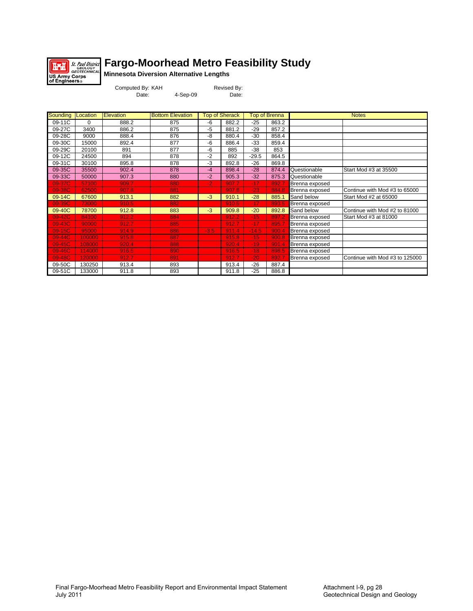

### **Fargo-Moorhead Metro Feasibility Study**

**Minnesota Diversion Alternative Lengths**

| Computed By: KAH |          | Revised By: |
|------------------|----------|-------------|
| Date:            | 4-Sep-09 | Date:       |

| Sounding   Location |          | <b>Elevation</b> | <b>Bottom Elevation</b> |        | <b>Top of Sherack</b> |         | <b>Top of Brenna</b> |                | <b>Notes</b>                   |
|---------------------|----------|------------------|-------------------------|--------|-----------------------|---------|----------------------|----------------|--------------------------------|
| 09-11C              | $\Omega$ | 888.2            | 875                     | -6     | 882.2                 | $-25$   | 863.2                |                |                                |
| 09-27C              | 3400     | 886.2            | 875                     | $-5$   | 881.2                 | $-29$   | 857.2                |                |                                |
| 09-28C              | 9000     | 888.4            | 876                     | -8     | 880.4                 | -30     | 858.4                |                |                                |
| 09-30C              | 15000    | 892.4            | 877                     | -6     | 886.4                 | -33     | 859.4                |                |                                |
| 09-29C              | 20100    | 891              | 877                     | -6     | 885                   | -38     | 853                  |                |                                |
| 09-12C              | 24500    | 894              | 878                     | $-2$   | 892                   | $-29.5$ | 864.5                |                |                                |
| 09-31C              | 30100    | 895.8            | 878                     | $-3$   | 892.8                 | $-26$   | 869.8                |                |                                |
| 09-35C              | 35500    | 902.4            | 878                     | $-4$   | 898.4                 | $-28$   | 874.4                | Questionable   | Start Mod #3 at 35500          |
| 09-33C              | 50000    | 907.3            | 880                     | $-2$   | 905.3                 | $-32$   | 875.3                | Questionable   |                                |
| 09-37C              | 57100    | 909.7            | 880                     | $-2$   | 907.7                 | $-17$   | 892.7                | Brenna exposed |                                |
| 09-38C              | 62500    | 907.8            | 881                     |        | 907.8                 | $-23$   | 884.8                | Brenna exposed | Continue with Mod #3 to 65000  |
| 09-14C              | 67600    | 913.1            | 882                     | $-3$   | 910.1                 | $-28$   | 885.1                | Sand below     | Start Mod #2 at 65000          |
| 09-39C              | 73000    | 910.5            | 882                     |        | 910.5                 | $-17$   | 893.5                | Brenna exposed |                                |
| 09-40C              | 78700    | 912.8            | 883                     | $-3$   | 909.8                 | $-20$   | 892.8                | Sand below     | Continue with Mod #2 to 81000  |
| 09-42C              | 84100    | 912.2            | 884                     |        | 912.2                 | $-15$   | 897.2                | Brenna exposed | Start Mod #3 at 81000          |
| 09-43C              | 90000    | 912.7            | 885                     |        | 912.7                 | $-17$   | 895.7                | Brenna exposed |                                |
| 09-15C              | 95000    | 914.9            | 886                     | $-3.5$ | 911.4                 | $-14.5$ | 900.4                | Brenna exposed |                                |
| 09-44C              | 100000   | 915.8            | 887                     |        | 915.8                 | $-15$   | 900.8                | Brenna exposed |                                |
| 09-45C              | 108000   | 920.4            | 888                     |        | 920.4                 | $-19$   | 901.4                | Brenna exposed |                                |
| 09-46C              | 114000   | 916.5            | 890                     |        | 916.5                 | $-18$   | 898.5                | Brenna exposed |                                |
| 09-48C              | 120000   | 912.7            | 891                     |        | 912.7                 | $-20$   | 892.7                | Brenna exposed | Continue with Mod #3 to 125000 |
| 09-50C              | 130250   | 913.4            | 893                     |        | 913.4                 | $-26$   | 887.4                |                |                                |
| 09-51C              | 133000   | 911.8            | 893                     |        | 911.8                 | -25     | 886.8                |                |                                |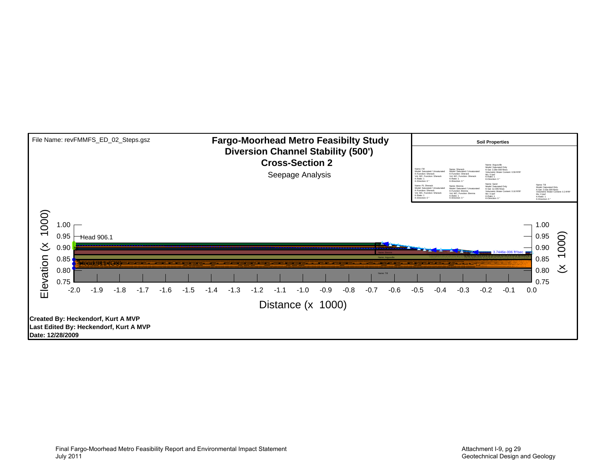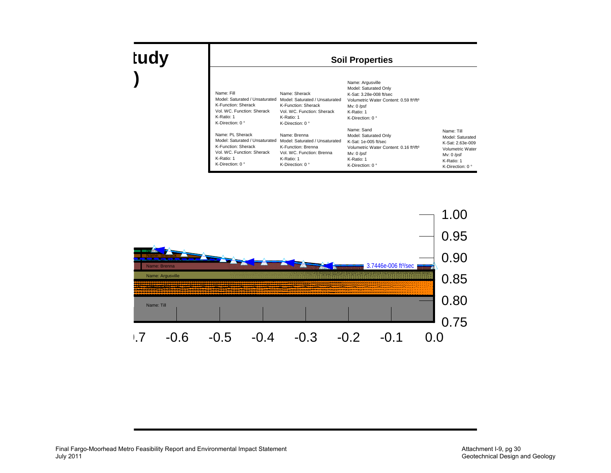| Name: Fill<br>Model: Saturated / Unsaturated<br>K-Function: Sherack<br>Vol. WC. Function: Sherack<br>K-Ratio: 1<br>K-Direction: $0^{\circ}$ | Name: Sherack<br>Model: Saturated / Unsaturated<br>K-Function: Sherack<br>Vol. WC. Function: Sherack<br>K-Ratio: 1<br>K-Direction: $0^{\circ}$ | Name: Argusville<br>Model: Saturated Only<br>K-Sat: 3.28e-008 ft/sec<br>Volumetric Water Content: 0.59 ft <sup>3/ft3</sup><br>$Mv: 0$ /psf<br>K-Ratio: 1<br>K-Direction: $0^{\circ}$ |                                                                                                                          |
|---------------------------------------------------------------------------------------------------------------------------------------------|------------------------------------------------------------------------------------------------------------------------------------------------|--------------------------------------------------------------------------------------------------------------------------------------------------------------------------------------|--------------------------------------------------------------------------------------------------------------------------|
| Name: PL Sherack<br>Model: Saturated / Unsaturated<br>K-Function: Sherack<br>Vol. WC. Function: Sherack<br>K-Ratio: 1<br>K-Direction: 0 °   | Name: Brenna<br>Model: Saturated / Unsaturated<br>K-Function: Brenna<br>Vol. WC. Function: Brenna<br>K-Ratio: 1<br>K-Direction: $0^{\circ}$    | Name: Sand<br>Model: Saturated Only<br>$K-Sat: 1e-005$ ft/sec<br>Volumetric Water Content: 0.16 ft <sup>3/ft3</sup><br>$Mv: 0$ /psf<br>K-Ratio: 1<br>K-Direction: $0^{\circ}$        | Name: Till<br>Model: Saturated<br>K-Sat: 2.63e-009<br>Volumetric Water<br>$Mv: 0$ /psf<br>K-Ratio: 1<br>K-Direction: 0 ° |

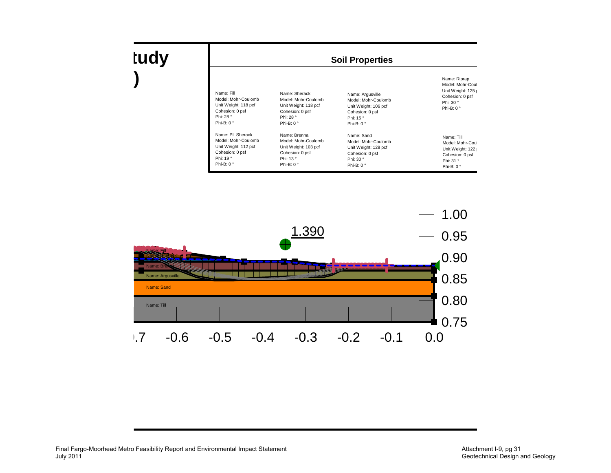| <b>Soil Properties</b>                                                                                         |                                                                                                                    |                                                                                                                      |                                                                                                             |  |  |  |  |
|----------------------------------------------------------------------------------------------------------------|--------------------------------------------------------------------------------------------------------------------|----------------------------------------------------------------------------------------------------------------------|-------------------------------------------------------------------------------------------------------------|--|--|--|--|
| Name: Fill<br>Model: Mohr-Coulomb<br>Unit Weight: 118 pcf<br>Cohesion: 0 psf<br>Phi: 28°<br>Phi-B: $0^{\circ}$ | Name: Sherack<br>Model: Mohr-Coulomb<br>Unit Weight: 118 pcf<br>Cohesion: 0 psf<br>Phi: 28 °<br>Phi-B: $0^{\circ}$ | Name: Argusville<br>Model: Mohr-Coulomb<br>Unit Weight: 106 pcf<br>Cohesion: 0 psf<br>Phi: 15°<br>Phi-B: $0^{\circ}$ | Name: Riprap<br>Model: Mohr-Coul<br>Unit Weight: 125 p<br>Cohesion: 0 psf<br>Phi: 30°<br>Phi-B: $0^{\circ}$ |  |  |  |  |
| Name: PL Sherack<br>Model: Mohr-Coulomb                                                                        | Name: Brenna<br>Model: Mohr-Coulomb                                                                                | Name: Sand<br>Model: Mohr-Coulomb                                                                                    | Name: Till<br>Model: Mohr-Coul                                                                              |  |  |  |  |

Model: Mohr-Coulomb Unit Weight: 128 pcf Cohesion: 0 psf Phi: 30 °Phi-B: 0 °

Unit Weight: 122 | Cohesion: 0 psf Phi: 31 °Phi-B: 0 °



Unit Weight: 103 pcf Cohesion: 0 psf Phi: 13 °Phi-B: 0 °

Unit Weight: 112 pcf Cohesion: 0 psf Phi: 19 °Phi-B: 0 °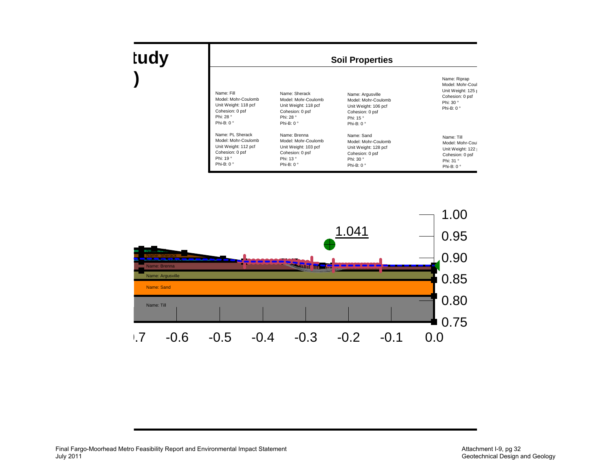| <b>Soil Properties</b> |                      |                      |                    |  |  |  |
|------------------------|----------------------|----------------------|--------------------|--|--|--|
| Name: Fill             | Name: Sherack        | Name: Argusville     | Name: Riprap       |  |  |  |
| Model: Mohr-Coulomb    | Model: Mohr-Coulomb  | Model: Mohr-Coulomb  | Model: Mohr-Coul   |  |  |  |
| Unit Weight: 118 pcf   | Unit Weight: 118 pcf | Unit Weight: 106 pcf | Unit Weight: 125 r |  |  |  |
| Cohesion: 0 psf        | Cohesion: 0 psf      | Cohesion: 0 psf      | Cohesion: 0 psf    |  |  |  |
| Phi: 28°               | Phi: 28°             | Phi: 15°             | Phi: 30°           |  |  |  |
| Phi-B: $0^{\circ}$     | Phi-B: $0^{\circ}$   | Phi-B: $0^{\circ}$   | Phi-B: $0^{\circ}$ |  |  |  |
| Name: PL Sherack       | Name: Brenna         | Name: Sand           | Name: Till         |  |  |  |
| Model: Mohr-Coulomb    | Model: Mohr-Coulomb  | Model: Mohr-Coulomb  | Model: Mohr-Coul   |  |  |  |
| Unit Weight: 112 pcf   | Unit Weight: 103 pcf | Unit Weight: 128 pcf | Unit Weight: 122   |  |  |  |
| Cohesion: 0 psf        | Cohesion: 0 psf      | Cohesion: 0 psf      | Cohesion: 0 psf    |  |  |  |
| Phi: 19°               | Phi: 13°             | Phi: 30°             | Phi: 31 °          |  |  |  |
| Phi-B: 0 °             | Phi-B: $0^{\circ}$   | Phi-B: 0 °           | Phi-B: $0^{\circ}$ |  |  |  |

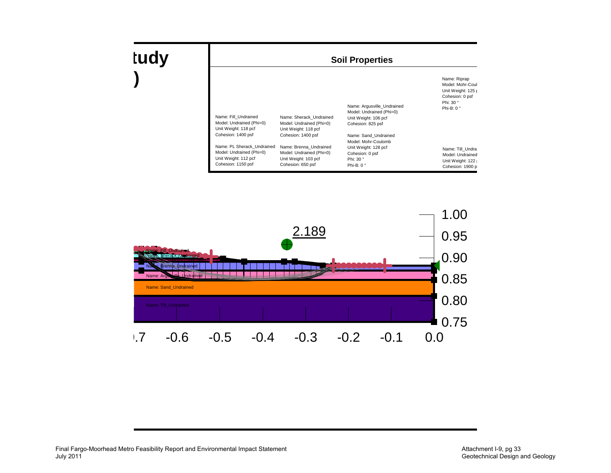| tudy |                                                                                                                                                                                                        | <b>Soil Properties</b>                                                                                                                                                                               |                                                                                                                                                                                                                         |                                                                                                                                                                                              |  |  |  |  |
|------|--------------------------------------------------------------------------------------------------------------------------------------------------------------------------------------------------------|------------------------------------------------------------------------------------------------------------------------------------------------------------------------------------------------------|-------------------------------------------------------------------------------------------------------------------------------------------------------------------------------------------------------------------------|----------------------------------------------------------------------------------------------------------------------------------------------------------------------------------------------|--|--|--|--|
|      | Name: Fill Undrained<br>Model: Undrained (Phi=0)<br>Unit Weight: 118 pcf<br>Cohesion: 1400 psf<br>Name: PL Sherack Undrained<br>Model: Undrained (Phi=0)<br>Unit Weight: 112 pcf<br>Cohesion: 1150 psf | Name: Sherack Undrained<br>Model: Undrained (Phi=0)<br>Unit Weight: 118 pcf<br>Cohesion: 1400 psf<br>Name: Brenna Undrained<br>Model: Undrained (Phi=0)<br>Unit Weight: 103 pcf<br>Cohesion: 650 psf | Name: Argusville Undrained<br>Model: Undrained (Phi=0)<br>Unit Weight: 106 pcf<br>Cohesion: 825 psf<br>Name: Sand Undrained<br>Model: Mohr-Coulomb<br>Unit Weight: 128 pcf<br>Cohesion: 0 psf<br>Phi: 30 °<br>Phi-B: 0° | Name: Riprap<br>Model: Mohr-Coul<br>Unit Weight: 125 r<br>Cohesion: 0 psf<br>Phi: 30 °<br>Phi-B: $0^{\circ}$<br>Name: Till Undra<br>Model: Undrained<br>Unit Weight: 122<br>Cohesion: 1900 p |  |  |  |  |

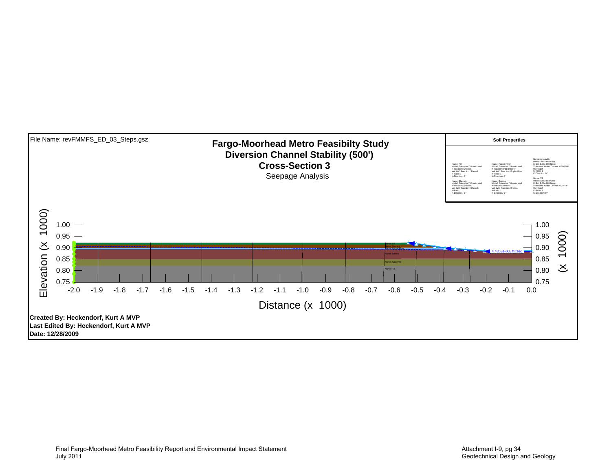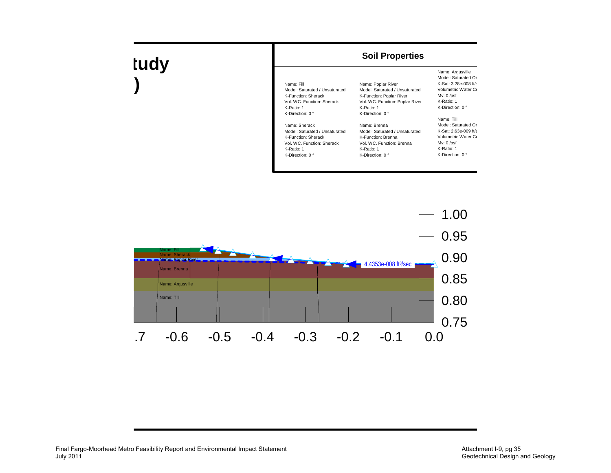#### **Soil Properties**

| Name: Fill<br>Model: Saturated / Unsaturated<br>K-Function: Sherack<br>Vol. WC. Function: Sherack<br>K-Ratio: 1<br>K-Direction: 0 °    | Name: Poplar River<br>Model: Saturated / Unsaturated<br>K-Function: Poplar River<br>Vol. WC. Function: Poplar River<br>K-Ratio: 1<br>K-Direction: $0^{\circ}$ |
|----------------------------------------------------------------------------------------------------------------------------------------|---------------------------------------------------------------------------------------------------------------------------------------------------------------|
| Name: Sherack<br>Model: Saturated / Unsaturated<br>K-Function: Sherack<br>Vol. WC. Function: Sherack<br>K-Ratio: 1<br>K-Direction: 0 ° | Name: Brenna<br>Model: Saturated / Unsaturated<br>K-Function: Brenna<br>Vol. WC. Function: Brenna<br>K-Ratio: 1<br>K-Direction: 0°                            |

Name: Argusville Model: Saturated Or K-Sat: 3.28e-008 ft/sVolumetric Water Co Mv: 0 /psf K-Ratio: 1 K-Direction: 0 ° Name: Till Model: Saturated Or K-Sat: 2.63e-009 ft/sVolumetric Water Co

Mv: 0 /psf K-Ratio: 1 K-Direction: 0 °

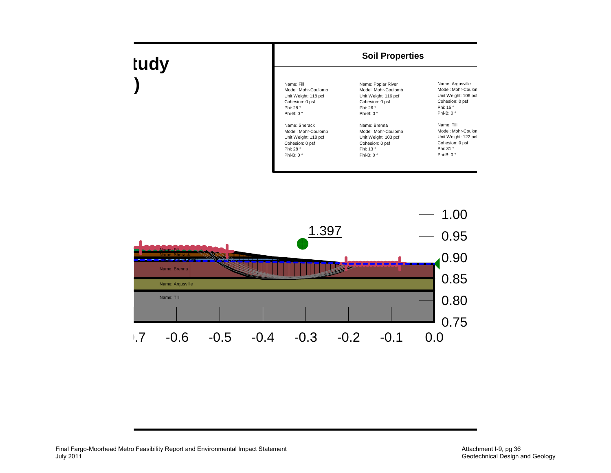

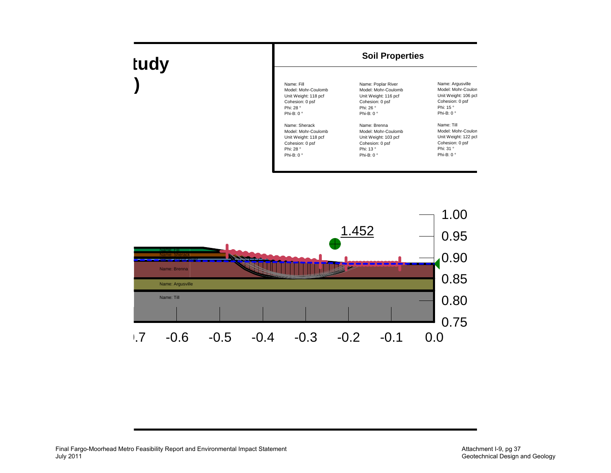| tudy | <b>Soil Properties</b>                                                                                          |                                                                                                                         |                                                                                                                     |
|------|-----------------------------------------------------------------------------------------------------------------|-------------------------------------------------------------------------------------------------------------------------|---------------------------------------------------------------------------------------------------------------------|
|      | Name: Fill<br>Model: Mohr-Coulomb<br>Unit Weight: 118 pcf<br>Cohesion: 0 psf<br>Phi: 28 °<br>Phi-B: $0^{\circ}$ | Name: Poplar River<br>Model: Mohr-Coulomb<br>Unit Weight: 116 pcf<br>Cohesion: 0 psf<br>Phi: 26 °<br>Phi-B: $0^{\circ}$ | Name: Argusville<br>Model: Mohr-Coulon<br>Unit Weight: 106 pcf<br>Cohesion: 0 psf<br>Phi: 15°<br>Phi-B: $0^{\circ}$ |
|      | Name: Sherack<br>Model: Mohr-Coulomb<br>Unit Weight: 118 pcf<br>Cohesion: 0 psf<br>Phi: 28 °<br>Phi-B: 0 °      | Name: Brenna<br>Model: Mohr-Coulomb<br>Unit Weight: 103 pcf<br>Cohesion: 0 psf<br>Phi: 13°<br>Phi-B: $0^{\circ}$        | Name: Till<br>Model: Mohr-Coulon<br>Unit Weight: 122 pcf<br>Cohesion: 0 psf<br>Phi: 31 °<br>Phi-B: $0^{\circ}$      |